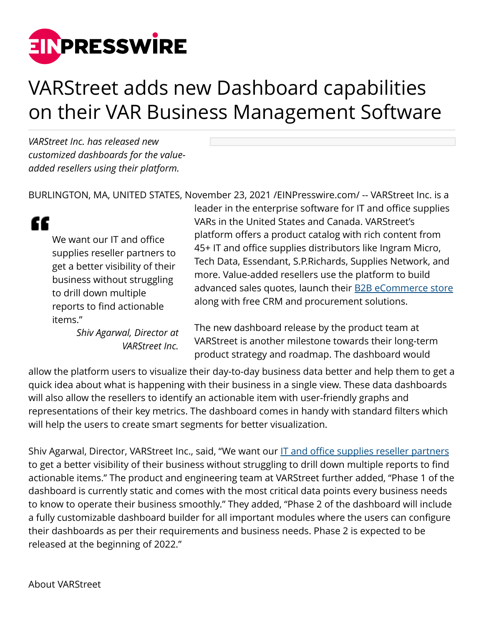

## VARStreet adds new Dashboard capabilities on their VAR Business Management Software

*VARStreet Inc. has released new customized dashboards for the valueadded resellers using their platform.* 

"

BURLINGTON, MA, UNITED STATES, November 23, 2021 /[EINPresswire.com/](http://www.einpresswire.com) -- VARStreet Inc. is a

We want our IT and office supplies reseller partners to get a better visibility of their business without struggling to drill down multiple reports to find actionable items."

> *Shiv Agarwal, Director at VARStreet Inc.*

leader in the enterprise software for IT and office supplies VARs in the United States and Canada. VARStreet's platform offers a product catalog with rich content from 45+ IT and office supplies distributors like Ingram Micro, Tech Data, Essendant, S.P.Richards, Supplies Network, and more. Value-added resellers use the platform to build advanced sales quotes, launch their [B2B eCommerce store](https://www.varstreetinc.com/platform/b2b-ecommerce-store) along with free CRM and procurement solutions.

The new dashboard release by the product team at VARStreet is another milestone towards their long-term product strategy and roadmap. The dashboard would

allow the platform users to visualize their day-to-day business data better and help them to get a quick idea about what is happening with their business in a single view. These data dashboards will also allow the resellers to identify an actionable item with user-friendly graphs and representations of their key metrics. The dashboard comes in handy with standard filters which will help the users to create smart segments for better visualization.

Shiv Agarwal, Director, VARStreet Inc., said, "We want our [IT and office supplies reseller partners](https://www.varstreetinc.com/platform/it-office-supply-distributors) to get a better visibility of their business without struggling to drill down multiple reports to find actionable items." The product and engineering team at VARStreet further added, "Phase 1 of the dashboard is currently static and comes with the most critical data points every business needs to know to operate their business smoothly." They added, "Phase 2 of the dashboard will include a fully customizable dashboard builder for all important modules where the users can configure their dashboards as per their requirements and business needs. Phase 2 is expected to be released at the beginning of 2022."